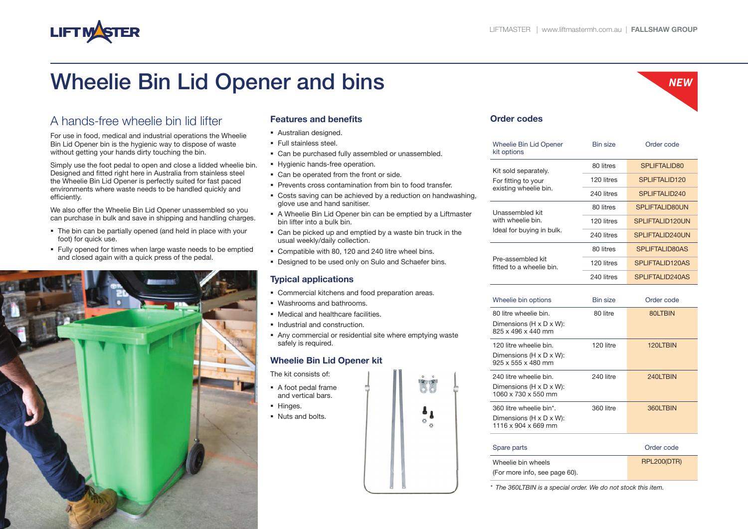*NEW*

# Wheelie Bin Lid Opener and bins

## A hands-free wheelie bin lid lifter

**LIFT MASTER** 

For use in food, medical and industrial operations the Wheelie Bin Lid Opener bin is the hygienic way to dispose of waste without getting your hands dirty touching the bin.

Simply use the foot pedal to open and close a lidded wheelie bin. Designed and fitted right here in Australia from stainless steel the Wheelie Bin Lid Opener is perfectly suited for fast paced environments where waste needs to be handled quickly and efficiently.

We also offer the Wheelie Bin Lid Opener unassembled so you can purchase in bulk and save in shipping and handling charges.

- The bin can be partially opened (and held in place with your foot) for quick use.
- Fully opened for times when large waste needs to be emptied and closed again with a quick press of the pedal.



#### **Features and benefits**

- Australian designed.
- **Full stainless steel.**
- Can be purchased fully assembled or unassembled.
- **Hygienic hands-free operation.**
- Can be operated from the front or side.
- **Prevents cross contamination from bin to food transfer.**
- Costs saving can be achieved by a reduction on handwashing, glove use and hand sanitiser.
- A Wheelie Bin Lid Opener bin can be emptied by a Liftmaster bin lifter into a bulk bin.
- Can be picked up and emptied by a waste bin truck in the usual weekly/daily collection.
- Compatible with 80, 120 and 240 litre wheel bins.
- Designed to be used only on Sulo and Schaefer bins.

### **Typical applications**

- Commercial kitchens and food preparation areas.
- Washrooms and bathrooms.
- Medical and healthcare facilities.
- **Industrial and construction.**
- Any commercial or residential site where emptying waste safely is required.

### **Wheelie Bin Lid Opener kit**

The kit consists of:

- A foot pedal frame and vertical bars.
- Hinges.
- Nuts and bolts.



| Order codes |  |
|-------------|--|
|-------------|--|

| <b>Wheelie Bin Lid Opener</b><br>kit options                         | <b>Bin size</b> | Order code                |
|----------------------------------------------------------------------|-----------------|---------------------------|
| Kit sold separately.<br>For fitting to your<br>existing wheelie bin. | 80 litres       | SPLIFTALID80              |
|                                                                      | 120 litres      | SPLIFTALID120             |
|                                                                      | 240 litres      | SPLIFTALID <sub>240</sub> |
| Unassembled kit<br>with wheelie bin.<br>Ideal for buying in bulk.    | 80 litres       | <b>SPLIFTALID80UN</b>     |
|                                                                      | 120 litres      | SPLIFTALID120UN           |
|                                                                      | 240 litres      | SPI IFTAI ID240UN         |
| Pre-assembled kit<br>fitted to a wheelie bin.                        | 80 litres       | <b>SPLIFTALID80AS</b>     |
|                                                                      | 120 litres      | SPLIFTALID120AS           |
|                                                                      | 240 litres      | SPLIFTALID240AS           |
|                                                                      |                 |                           |

| Wheelie bin options                                                                               | <b>Bin size</b> | Order code |
|---------------------------------------------------------------------------------------------------|-----------------|------------|
| 80 litre wheelie bin.<br>Dimensions (H x D x W):<br>825 x 496 x 440 mm                            | 80 litre        | 80LTBIN    |
| 120 litre wheelie bin.<br>Dimensions ( $H \times D \times W$ ):<br>$925 \times 555 \times 480$ mm | 120 litre       | 120LTBIN   |
| 240 litre wheelie bin.<br>Dimensions (H x D x W):<br>1060 x 730 x 550 mm                          | 240 litre       | 240LTBIN   |
| 360 litre wheelie bin*.<br>Dimensions ( $H \times D \times W$ ):<br>1116 x 904 x 669 mm           | 360 litre       | 360LTBIN   |
| Spare parts                                                                                       |                 | Order code |

| <b>ODUIV PUILU</b>            | viuvi vvuv         |
|-------------------------------|--------------------|
| Wheelie bin wheels            | <b>RPL200(DTR)</b> |
| (For more info, see page 60). |                    |

*\* The 360LTBIN is a special order. We do not stock this item.*